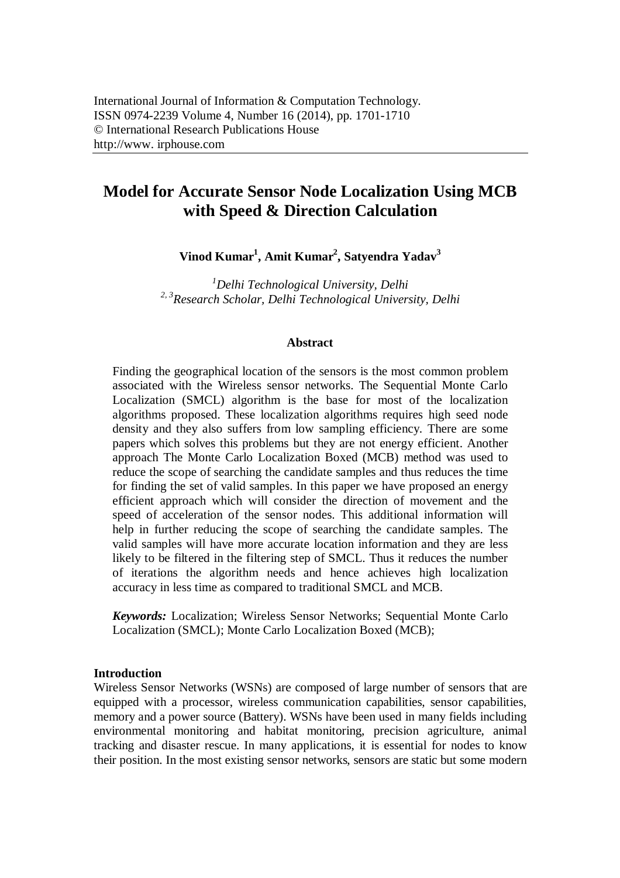# **Model for Accurate Sensor Node Localization Using MCB with Speed & Direction Calculation**

**Vinod Kumar<sup>1</sup> , Amit Kumar<sup>2</sup> , Satyendra Yadav<sup>3</sup>**

*<sup>1</sup>Delhi Technological University, Delhi 2, 3 Research Scholar, Delhi Technological University, Delhi*

## **Abstract**

Finding the geographical location of the sensors is the most common problem associated with the Wireless sensor networks. The Sequential Monte Carlo Localization (SMCL) algorithm is the base for most of the localization algorithms proposed. These localization algorithms requires high seed node density and they also suffers from low sampling efficiency. There are some papers which solves this problems but they are not energy efficient. Another approach The Monte Carlo Localization Boxed (MCB) method was used to reduce the scope of searching the candidate samples and thus reduces the time for finding the set of valid samples. In this paper we have proposed an energy efficient approach which will consider the direction of movement and the speed of acceleration of the sensor nodes. This additional information will help in further reducing the scope of searching the candidate samples. The valid samples will have more accurate location information and they are less likely to be filtered in the filtering step of SMCL. Thus it reduces the number of iterations the algorithm needs and hence achieves high localization accuracy in less time as compared to traditional SMCL and MCB.

*Keywords:* Localization; Wireless Sensor Networks; Sequential Monte Carlo Localization (SMCL); Monte Carlo Localization Boxed (MCB);

## **Introduction**

Wireless Sensor Networks (WSNs) are composed of large number of sensors that are equipped with a processor, wireless communication capabilities, sensor capabilities, memory and a power source (Battery). WSNs have been used in many fields including environmental monitoring and habitat monitoring, precision agriculture, animal tracking and disaster rescue. In many applications, it is essential for nodes to know their position. In the most existing sensor networks, sensors are static but some modern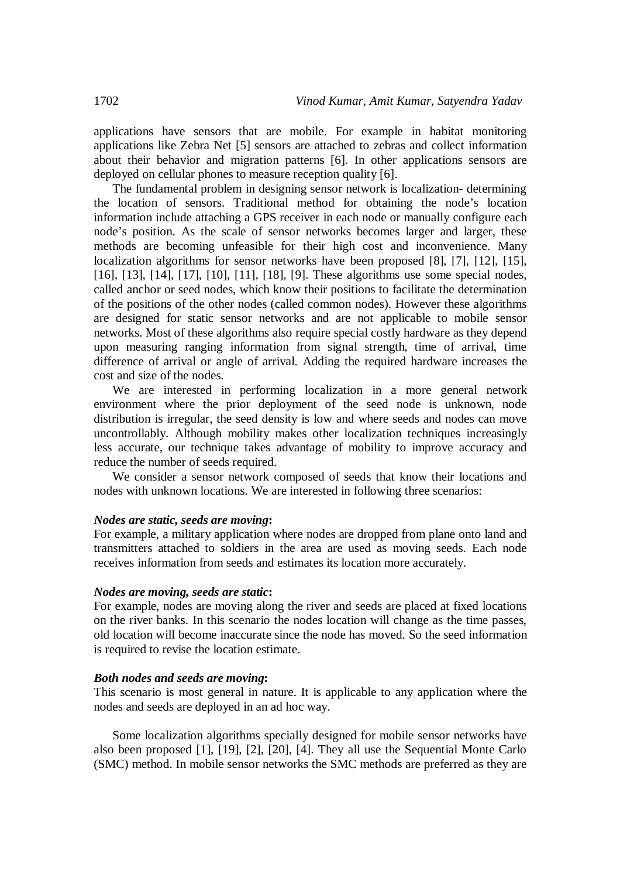applications have sensors that are mobile. For example in habitat monitoring applications like Zebra Net [5] sensors are attached to zebras and collect information about their behavior and migration patterns [6]. In other applications sensors are deployed on cellular phones to measure reception quality [6].

The fundamental problem in designing sensor network is localization- determining the location of sensors. Traditional method for obtaining the node's location information include attaching a GPS receiver in each node or manually configure each node's position. As the scale of sensor networks becomes larger and larger, these methods are becoming unfeasible for their high cost and inconvenience. Many localization algorithms for sensor networks have been proposed [8], [7], [12], [15], [16], [13], [14], [17], [10], [11], [18], [9]. These algorithms use some special nodes, called anchor or seed nodes, which know their positions to facilitate the determination of the positions of the other nodes (called common nodes). However these algorithms are designed for static sensor networks and are not applicable to mobile sensor networks. Most of these algorithms also require special costly hardware as they depend upon measuring ranging information from signal strength, time of arrival, time difference of arrival or angle of arrival. Adding the required hardware increases the cost and size of the nodes.

We are interested in performing localization in a more general network environment where the prior deployment of the seed node is unknown, node distribution is irregular, the seed density is low and where seeds and nodes can move uncontrollably. Although mobility makes other localization techniques increasingly less accurate, our technique takes advantage of mobility to improve accuracy and reduce the number of seeds required.

We consider a sensor network composed of seeds that know their locations and nodes with unknown locations. We are interested in following three scenarios:

#### *Nodes are static, seeds are moving***:**

For example, a military application where nodes are dropped from plane onto land and transmitters attached to soldiers in the area are used as moving seeds. Each node receives information from seeds and estimates its location more accurately.

### *Nodes are moving, seeds are static***:**

For example, nodes are moving along the river and seeds are placed at fixed locations on the river banks. In this scenario the nodes location will change as the time passes, old location will become inaccurate since the node has moved. So the seed information is required to revise the location estimate.

## *Both nodes and seeds are moving***:**

This scenario is most general in nature. It is applicable to any application where the nodes and seeds are deployed in an ad hoc way.

Some localization algorithms specially designed for mobile sensor networks have also been proposed [1], [19], [2], [20], [4]. They all use the Sequential Monte Carlo (SMC) method. In mobile sensor networks the SMC methods are preferred as they are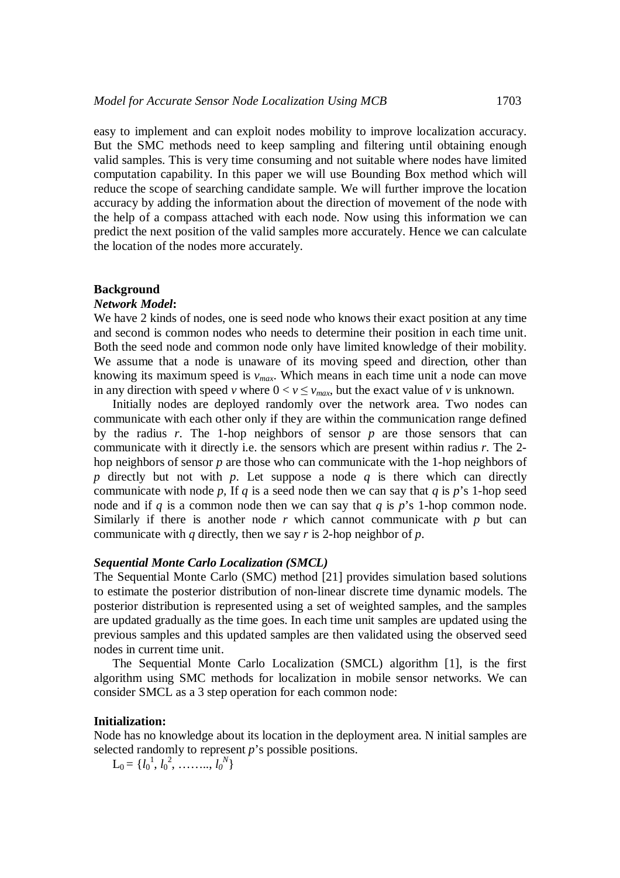easy to implement and can exploit nodes mobility to improve localization accuracy. But the SMC methods need to keep sampling and filtering until obtaining enough valid samples. This is very time consuming and not suitable where nodes have limited computation capability. In this paper we will use Bounding Box method which will reduce the scope of searching candidate sample. We will further improve the location accuracy by adding the information about the direction of movement of the node with the help of a compass attached with each node. Now using this information we can predict the next position of the valid samples more accurately. Hence we can calculate the location of the nodes more accurately.

### **Background**

## *Network Model***:**

We have 2 kinds of nodes, one is seed node who knows their exact position at any time and second is common nodes who needs to determine their position in each time unit. Both the seed node and common node only have limited knowledge of their mobility. We assume that a node is unaware of its moving speed and direction, other than knowing its maximum speed is *vmax*. Which means in each time unit a node can move in any direction with speed *v* where  $0 < v \le v_{max}$ , but the exact value of *v* is unknown.

Initially nodes are deployed randomly over the network area. Two nodes can communicate with each other only if they are within the communication range defined by the radius *r*. The 1-hop neighbors of sensor *p* are those sensors that can communicate with it directly i.e. the sensors which are present within radius *r*. The 2 hop neighbors of sensor *p* are those who can communicate with the 1-hop neighbors of *p* directly but not with *p*. Let suppose a node *q* is there which can directly communicate with node *p*, If *q* is a seed node then we can say that *q* is *p*'s 1-hop seed node and if *q* is a common node then we can say that *q* is *p*'s 1-hop common node. Similarly if there is another node  $r$  which cannot communicate with  $p$  but can communicate with *q* directly, then we say *r* is 2-hop neighbor of *p*.

#### *Sequential Monte Carlo Localization (SMCL)*

The Sequential Monte Carlo (SMC) method [21] provides simulation based solutions to estimate the posterior distribution of non-linear discrete time dynamic models. The posterior distribution is represented using a set of weighted samples, and the samples are updated gradually as the time goes. In each time unit samples are updated using the previous samples and this updated samples are then validated using the observed seed nodes in current time unit.

The Sequential Monte Carlo Localization (SMCL) algorithm [1], is the first algorithm using SMC methods for localization in mobile sensor networks. We can consider SMCL as a 3 step operation for each common node:

#### **Initialization:**

Node has no knowledge about its location in the deployment area. N initial samples are selected randomly to represent *p*'s possible positions.

 $L_0 = \{l_0^1, l_0^2, \ldots, l_0^N\}$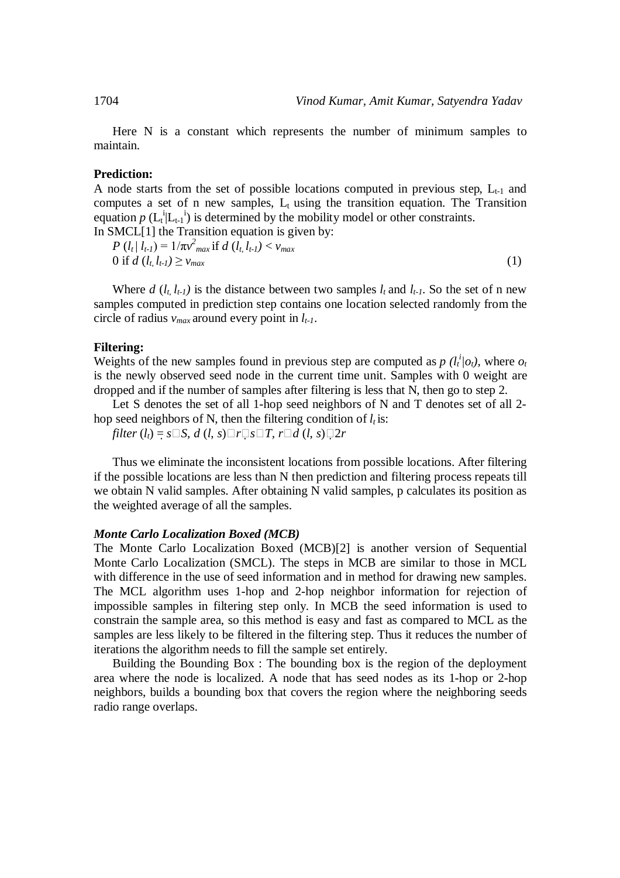Here N is a constant which represents the number of minimum samples to maintain.

## **Prediction:**

A node starts from the set of possible locations computed in previous step,  $L_{t-1}$  and computes a set of n new samples,  $L_t$  using the transition equation. The Transition equation  $p$  ( $L_t^{i} | L_{t-1}^{i}$ ) is determined by the mobility model or other constraints. In SMCL[1] the Transition equation is given by:

$$
P(l_t | l_{t-1}) = 1/\pi v_{max}^2 \text{ if } d(l_t, l_{t-1}) < v_{max}
$$
  
0 if  $d(l_t, l_{t-1}) \ge v_{max}$  (1)

Where  $d$  ( $l_t$ ,  $l_{t-1}$ ) is the distance between two samples  $l_t$  and  $l_{t-1}$ . So the set of n new samples computed in prediction step contains one location selected randomly from the circle of radius *vmax* around every point in *lt-1*.

## **Filtering:**

Weights of the new samples found in previous step are computed as  $p(l_t^i|o_t)$ , where  $o_t$ is the newly observed seed node in the current time unit. Samples with 0 weight are dropped and if the number of samples after filtering is less that N, then go to step 2.

Let S denotes the set of all 1-hop seed neighbors of N and T denotes set of all 2 hop seed neighbors of N, then the filtering condition of  $l_t$  is:

*filter*  $(l_t) = s \square S$ ,  $d(l, s) \square r \square s \square T$ ,  $r \square d(l, s) \square 2r$ 

Thus we eliminate the inconsistent locations from possible locations. After filtering if the possible locations are less than N then prediction and filtering process repeats till we obtain N valid samples. After obtaining N valid samples, p calculates its position as the weighted average of all the samples.

#### *Monte Carlo Localization Boxed (MCB)*

The Monte Carlo Localization Boxed (MCB)[2] is another version of Sequential Monte Carlo Localization (SMCL). The steps in MCB are similar to those in MCL with difference in the use of seed information and in method for drawing new samples. The MCL algorithm uses 1-hop and 2-hop neighbor information for rejection of impossible samples in filtering step only. In MCB the seed information is used to constrain the sample area, so this method is easy and fast as compared to MCL as the samples are less likely to be filtered in the filtering step. Thus it reduces the number of iterations the algorithm needs to fill the sample set entirely.

Building the Bounding Box : The bounding box is the region of the deployment area where the node is localized. A node that has seed nodes as its 1-hop or 2-hop neighbors, builds a bounding box that covers the region where the neighboring seeds radio range overlaps.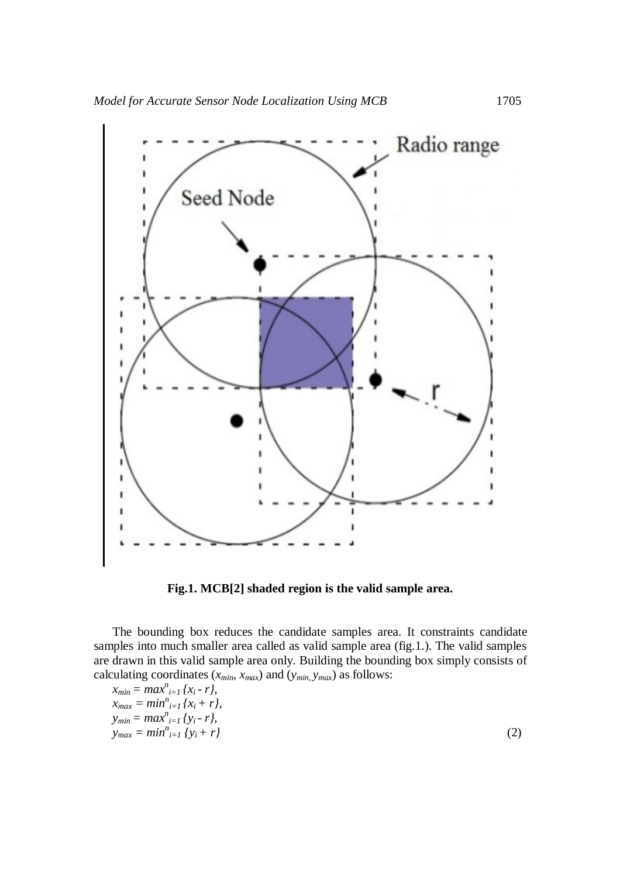

**Fig.1. MCB[2] shaded region is the valid sample area.**

The bounding box reduces the candidate samples area. It constraints candidate samples into much smaller area called as valid sample area (fig.1.). The valid samples are drawn in this valid sample area only. Building the bounding box simply consists of calculating coordinates  $(x_{min}, x_{max})$  and  $(y_{min}, y_{max})$  as follows:

$$
x_{min} = maxn_{i=1} {x_i - r},
$$
  
\n
$$
x_{max} = minn_{i=1} {x_i + r},
$$
  
\n
$$
y_{min} = maxn_{i=1} {y_i - r},
$$
  
\n
$$
y_{max} = minn_{i=1} {y_i + r}
$$
\n(2)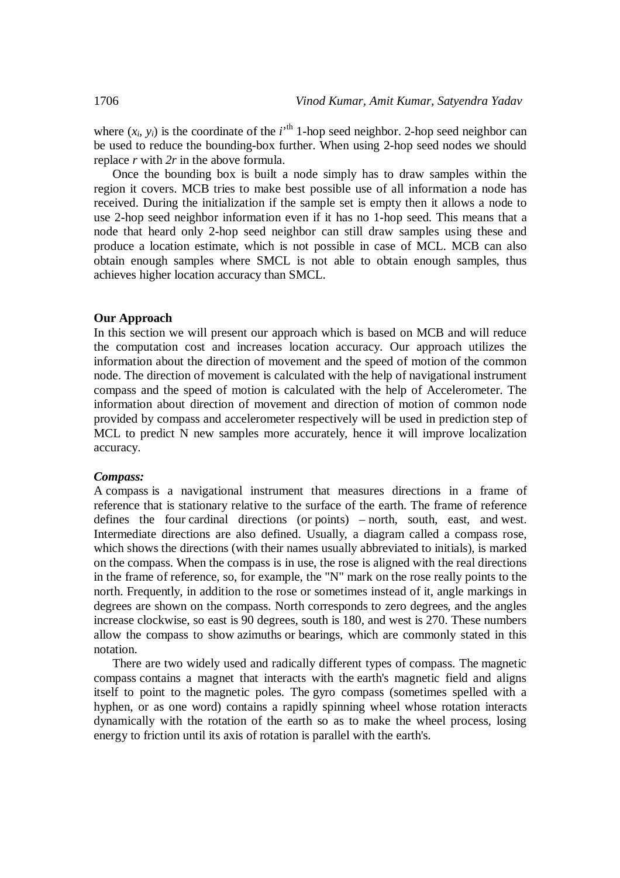where  $(x_i, y_i)$  is the coordinate of the  $i^{\text{th}}$  1-hop seed neighbor. 2-hop seed neighbor can be used to reduce the bounding-box further. When using 2-hop seed nodes we should replace *r* with *2r* in the above formula.

Once the bounding box is built a node simply has to draw samples within the region it covers. MCB tries to make best possible use of all information a node has received. During the initialization if the sample set is empty then it allows a node to use 2-hop seed neighbor information even if it has no 1-hop seed. This means that a node that heard only 2-hop seed neighbor can still draw samples using these and produce a location estimate, which is not possible in case of MCL. MCB can also obtain enough samples where SMCL is not able to obtain enough samples, thus achieves higher location accuracy than SMCL.

## **Our Approach**

In this section we will present our approach which is based on MCB and will reduce the computation cost and increases location accuracy. Our approach utilizes the information about the direction of movement and the speed of motion of the common node. The direction of movement is calculated with the help of navigational instrument compass and the speed of motion is calculated with the help of Accelerometer. The information about direction of movement and direction of motion of common node provided by compass and accelerometer respectively will be used in prediction step of MCL to predict N new samples more accurately, hence it will improve localization accuracy.

#### *Compass:*

A compass is a navigational instrument that measures directions in a frame of reference that is stationary relative to the surface of the earth. The frame of reference defines the four cardinal directions (or points) – north, south, east, and west. Intermediate directions are also defined. Usually, a diagram called a compass rose, which shows the directions (with their names usually abbreviated to initials), is marked on the compass. When the compass is in use, the rose is aligned with the real directions in the frame of reference, so, for example, the "N" mark on the rose really points to the north. Frequently, in addition to the rose or sometimes instead of it, angle markings in degrees are shown on the compass. North corresponds to zero degrees, and the angles increase clockwise, so east is 90 degrees, south is 180, and west is 270. These numbers allow the compass to show azimuths or bearings, which are commonly stated in this notation.

There are two widely used and radically different types of compass. The magnetic compass contains a magnet that interacts with the earth's magnetic field and aligns itself to point to the magnetic poles. The gyro compass (sometimes spelled with a hyphen, or as one word) contains a rapidly spinning wheel whose rotation interacts dynamically with the rotation of the earth so as to make the wheel process, losing energy to friction until its axis of rotation is parallel with the earth's.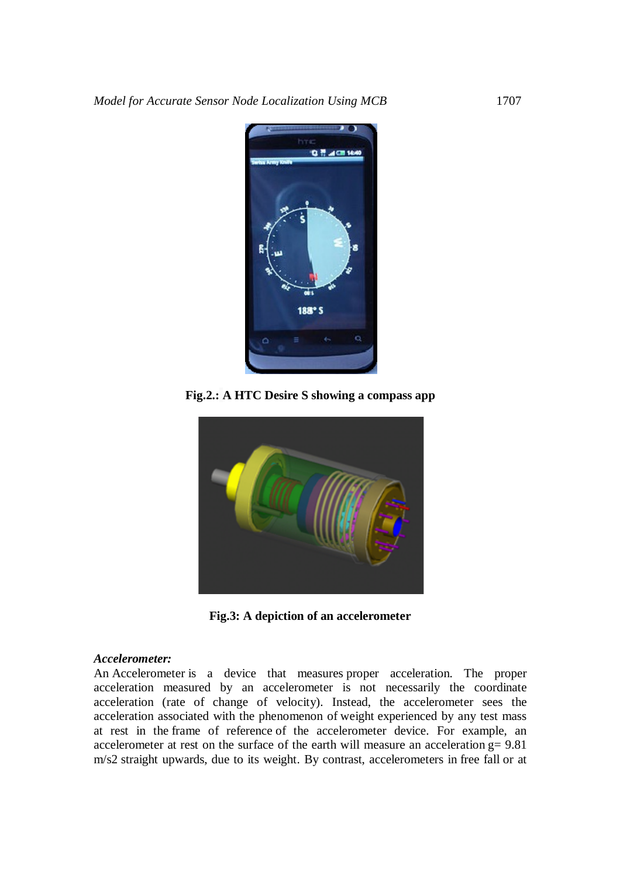

**Fig.2.: A HTC Desire S showing a compass app**



**Fig.3: A depiction of an accelerometer**

## *Accelerometer:*

An Accelerometer is a device that measures proper acceleration. The proper acceleration measured by an accelerometer is not necessarily the coordinate acceleration (rate of change of velocity). Instead, the accelerometer sees the acceleration associated with the phenomenon of weight experienced by any test mass at rest in the frame of reference of the accelerometer device. For example, an accelerometer at rest on the surface of the earth will measure an acceleration g= 9.81 m/s2 straight upwards, due to its weight. By contrast, accelerometers in free fall or at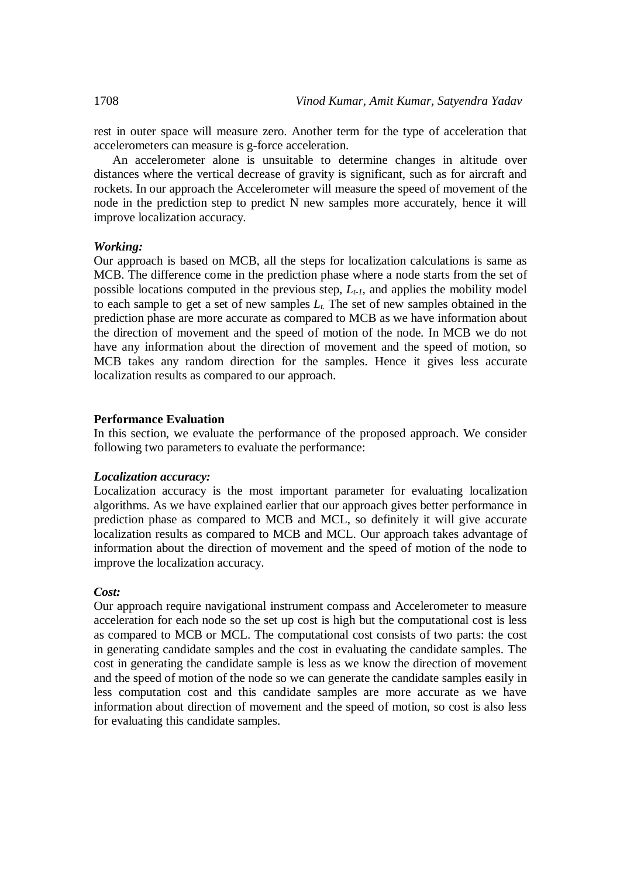rest in outer space will measure zero. Another term for the type of acceleration that accelerometers can measure is g-force acceleration.

An accelerometer alone is unsuitable to determine changes in altitude over distances where the vertical decrease of gravity is significant, such as for aircraft and rockets. In our approach the Accelerometer will measure the speed of movement of the node in the prediction step to predict N new samples more accurately, hence it will improve localization accuracy.

## *Working:*

Our approach is based on MCB, all the steps for localization calculations is same as MCB. The difference come in the prediction phase where a node starts from the set of possible locations computed in the previous step, *Lt-1,* and applies the mobility model to each sample to get a set of new samples *Lt.* The set of new samples obtained in the prediction phase are more accurate as compared to MCB as we have information about the direction of movement and the speed of motion of the node. In MCB we do not have any information about the direction of movement and the speed of motion, so MCB takes any random direction for the samples. Hence it gives less accurate localization results as compared to our approach.

### **Performance Evaluation**

In this section, we evaluate the performance of the proposed approach. We consider following two parameters to evaluate the performance:

### *Localization accuracy:*

Localization accuracy is the most important parameter for evaluating localization algorithms. As we have explained earlier that our approach gives better performance in prediction phase as compared to MCB and MCL, so definitely it will give accurate localization results as compared to MCB and MCL. Our approach takes advantage of information about the direction of movement and the speed of motion of the node to improve the localization accuracy.

## *Cost:*

Our approach require navigational instrument compass and Accelerometer to measure acceleration for each node so the set up cost is high but the computational cost is less as compared to MCB or MCL. The computational cost consists of two parts: the cost in generating candidate samples and the cost in evaluating the candidate samples. The cost in generating the candidate sample is less as we know the direction of movement and the speed of motion of the node so we can generate the candidate samples easily in less computation cost and this candidate samples are more accurate as we have information about direction of movement and the speed of motion, so cost is also less for evaluating this candidate samples.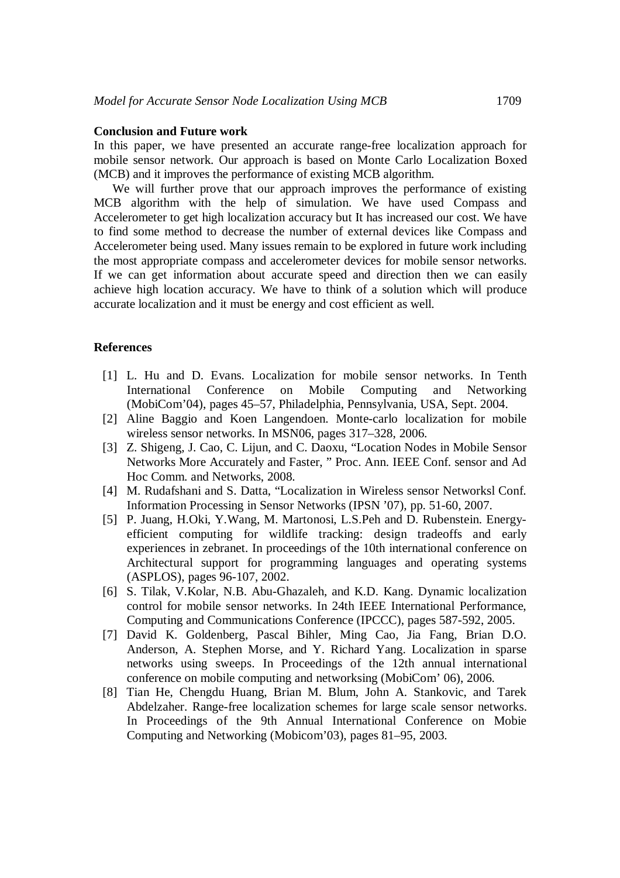## **Conclusion and Future work**

In this paper, we have presented an accurate range-free localization approach for mobile sensor network. Our approach is based on Monte Carlo Localization Boxed (MCB) and it improves the performance of existing MCB algorithm.

We will further prove that our approach improves the performance of existing MCB algorithm with the help of simulation. We have used Compass and Accelerometer to get high localization accuracy but It has increased our cost. We have to find some method to decrease the number of external devices like Compass and Accelerometer being used. Many issues remain to be explored in future work including the most appropriate compass and accelerometer devices for mobile sensor networks. If we can get information about accurate speed and direction then we can easily achieve high location accuracy. We have to think of a solution which will produce accurate localization and it must be energy and cost efficient as well.

## **References**

- [1] L. Hu and D. Evans. Localization for mobile sensor networks. In Tenth International Conference on Mobile Computing and Networking (MobiCom'04), pages 45–57, Philadelphia, Pennsylvania, USA, Sept. 2004.
- [2] Aline Baggio and Koen Langendoen. Monte-carlo localization for mobile wireless sensor networks. In MSN06, pages 317–328, 2006.
- [3] Z. Shigeng, J. Cao, C. Lijun, and C. Daoxu, "Location Nodes in Mobile Sensor Networks More Accurately and Faster, " Proc. Ann. IEEE Conf. sensor and Ad Hoc Comm. and Networks, 2008.
- [4] M. Rudafshani and S. Datta, "Localization in Wireless sensor Networksl Conf. Information Processing in Sensor Networks (IPSN '07), pp. 51-60, 2007.
- [5] P. Juang, H.Oki, Y.Wang, M. Martonosi, L.S.Peh and D. Rubenstein. Energyefficient computing for wildlife tracking: design tradeoffs and early experiences in zebranet. In proceedings of the 10th international conference on Architectural support for programming languages and operating systems (ASPLOS), pages 96-107, 2002.
- [6] S. Tilak, V.Kolar, N.B. Abu-Ghazaleh, and K.D. Kang. Dynamic localization control for mobile sensor networks. In 24th IEEE International Performance, Computing and Communications Conference (IPCCC), pages 587-592, 2005.
- [7] David K. Goldenberg, Pascal Bihler, Ming Cao, Jia Fang, Brian D.O. Anderson, A. Stephen Morse, and Y. Richard Yang. Localization in sparse networks using sweeps. In Proceedings of the 12th annual international conference on mobile computing and networksing (MobiCom' 06), 2006.
- [8] Tian He, Chengdu Huang, Brian M. Blum, John A. Stankovic, and Tarek Abdelzaher. Range-free localization schemes for large scale sensor networks. In Proceedings of the 9th Annual International Conference on Mobie Computing and Networking (Mobicom'03), pages 81–95, 2003.